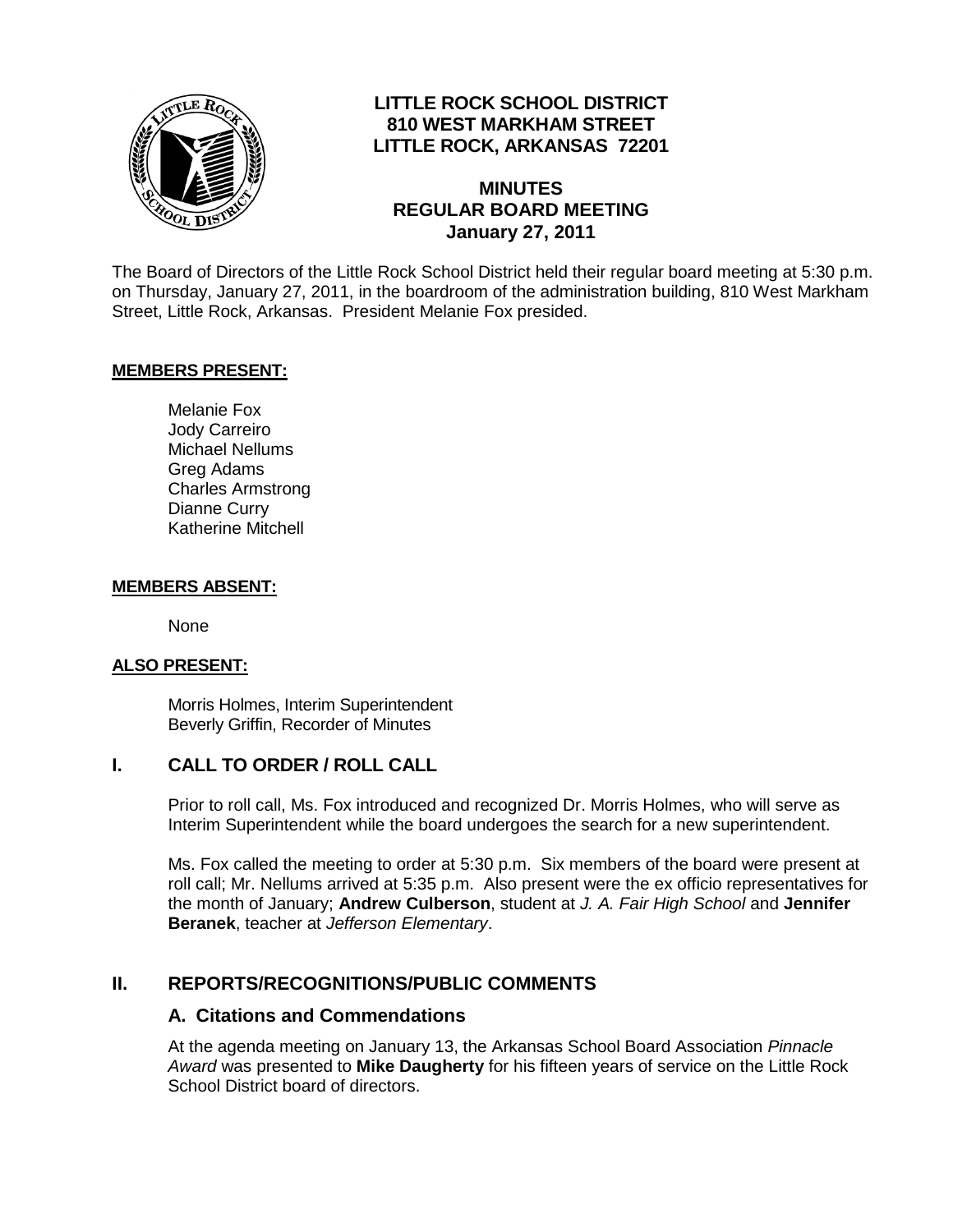

# **LITTLE ROCK SCHOOL DISTRICT 810 WEST MARKHAM STREET LITTLE ROCK, ARKANSAS 72201**

# **MINUTES REGULAR BOARD MEETING January 27, 2011**

The Board of Directors of the Little Rock School District held their regular board meeting at 5:30 p.m. on Thursday, January 27, 2011, in the boardroom of the administration building, 810 West Markham Street, Little Rock, Arkansas. President Melanie Fox presided.

#### **MEMBERS PRESENT:**

Melanie Fox Jody Carreiro Michael Nellums Greg Adams Charles Armstrong Dianne Curry Katherine Mitchell

#### **MEMBERS ABSENT:**

None

#### **ALSO PRESENT:**

Morris Holmes, Interim Superintendent Beverly Griffin, Recorder of Minutes

#### **I. CALL TO ORDER / ROLL CALL**

Prior to roll call, Ms. Fox introduced and recognized Dr. Morris Holmes, who will serve as Interim Superintendent while the board undergoes the search for a new superintendent.

Ms. Fox called the meeting to order at 5:30 p.m. Six members of the board were present at roll call; Mr. Nellums arrived at 5:35 p.m. Also present were the ex officio representatives for the month of January; **Andrew Culberson**, student at *J. A. Fair High School* and **Jennifer Beranek**, teacher at *Jefferson Elementary*.

#### **II. REPORTS/RECOGNITIONS/PUBLIC COMMENTS**

#### **A. Citations and Commendations**

At the agenda meeting on January 13, the Arkansas School Board Association *Pinnacle Award* was presented to **Mike Daugherty** for his fifteen years of service on the Little Rock School District board of directors.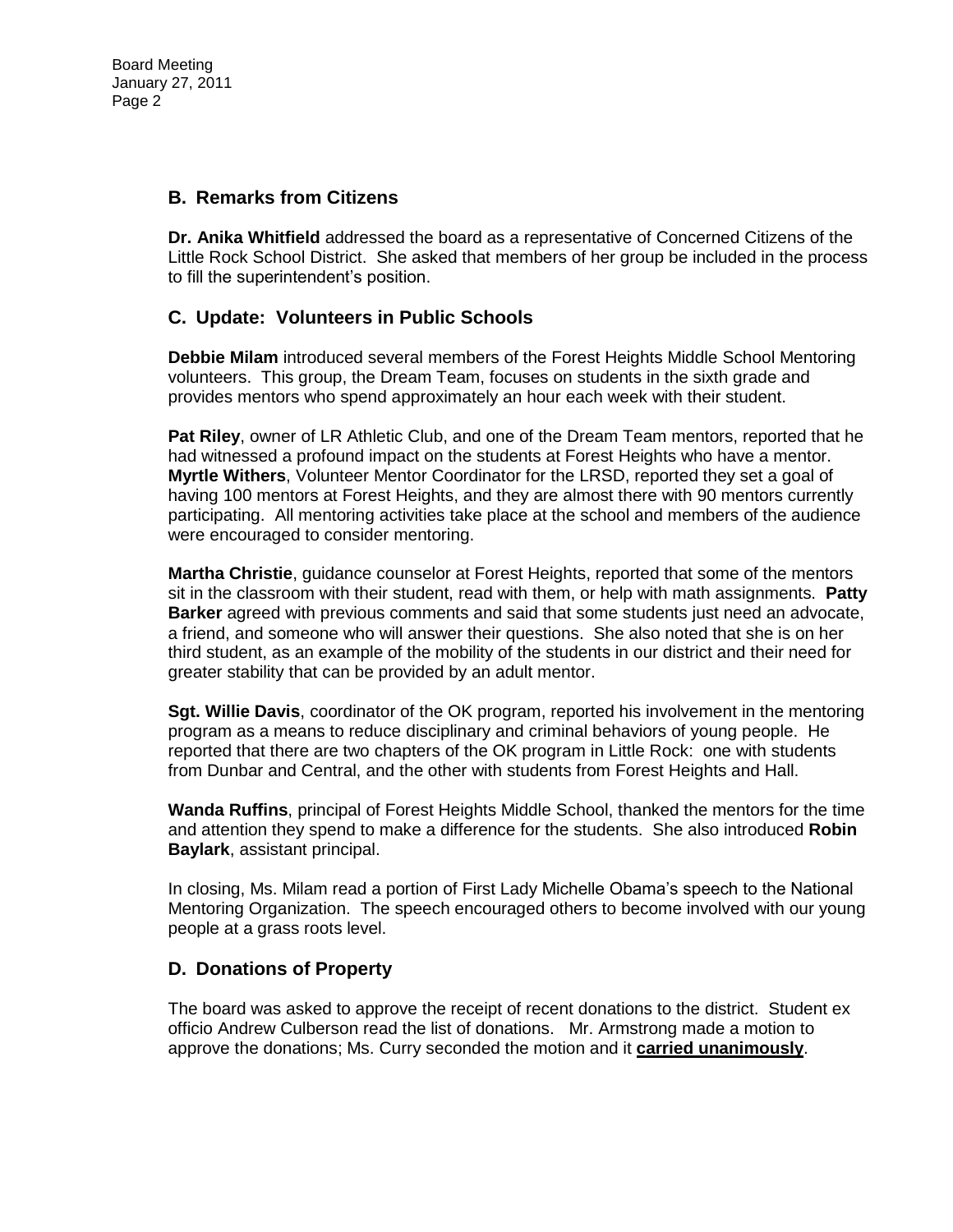#### **B. Remarks from Citizens**

**Dr. Anika Whitfield** addressed the board as a representative of Concerned Citizens of the Little Rock School District. She asked that members of her group be included in the process to fill the superintendent's position.

# **C. Update: Volunteers in Public Schools**

**Debbie Milam** introduced several members of the Forest Heights Middle School Mentoring volunteers. This group, the Dream Team, focuses on students in the sixth grade and provides mentors who spend approximately an hour each week with their student.

**Pat Riley**, owner of LR Athletic Club, and one of the Dream Team mentors, reported that he had witnessed a profound impact on the students at Forest Heights who have a mentor. **Myrtle Withers**, Volunteer Mentor Coordinator for the LRSD, reported they set a goal of having 100 mentors at Forest Heights, and they are almost there with 90 mentors currently participating. All mentoring activities take place at the school and members of the audience were encouraged to consider mentoring.

**Martha Christie**, guidance counselor at Forest Heights, reported that some of the mentors sit in the classroom with their student, read with them, or help with math assignments. **Patty Barker** agreed with previous comments and said that some students just need an advocate, a friend, and someone who will answer their questions. She also noted that she is on her third student, as an example of the mobility of the students in our district and their need for greater stability that can be provided by an adult mentor.

**Sgt. Willie Davis**, coordinator of the OK program, reported his involvement in the mentoring program as a means to reduce disciplinary and criminal behaviors of young people. He reported that there are two chapters of the OK program in Little Rock: one with students from Dunbar and Central, and the other with students from Forest Heights and Hall.

**Wanda Ruffins**, principal of Forest Heights Middle School, thanked the mentors for the time and attention they spend to make a difference for the students. She also introduced **Robin Baylark**, assistant principal.

In closing, Ms. Milam read a portion of First Lady Michelle Obama's speech to the National Mentoring Organization. The speech encouraged others to become involved with our young people at a grass roots level.

# **D. Donations of Property**

The board was asked to approve the receipt of recent donations to the district. Student ex officio Andrew Culberson read the list of donations. Mr. Armstrong made a motion to approve the donations; Ms. Curry seconded the motion and it **carried unanimously**.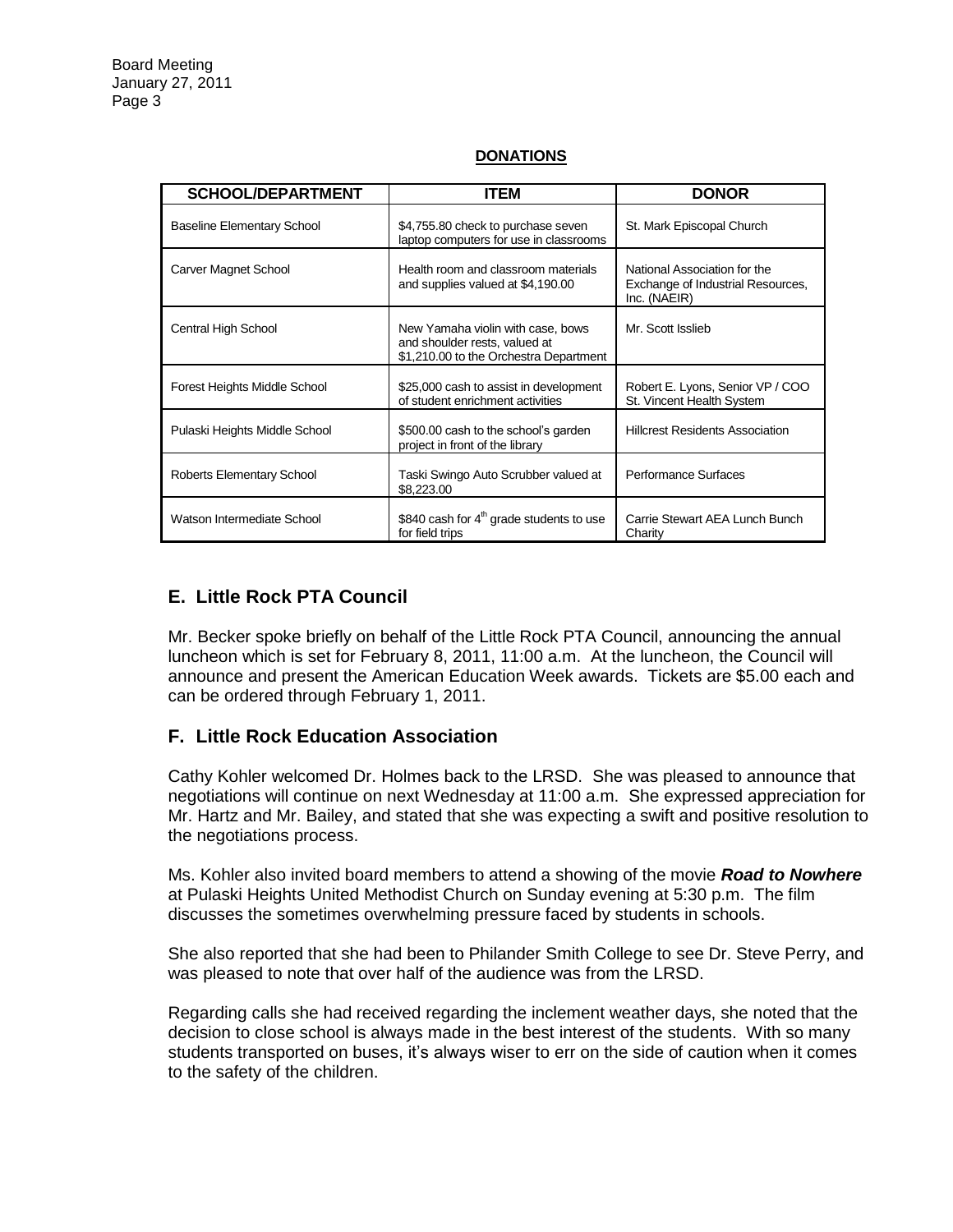| <b>SCHOOL/DEPARTMENT</b>          | <b>ITEM</b>                                                                                                  | <b>DONOR</b>                                                                      |
|-----------------------------------|--------------------------------------------------------------------------------------------------------------|-----------------------------------------------------------------------------------|
| <b>Baseline Elementary School</b> | \$4,755.80 check to purchase seven<br>laptop computers for use in classrooms                                 | St. Mark Episcopal Church                                                         |
| Carver Magnet School              | Health room and classroom materials<br>and supplies valued at \$4,190.00                                     | National Association for the<br>Exchange of Industrial Resources,<br>Inc. (NAEIR) |
| Central High School               | New Yamaha violin with case, bows<br>and shoulder rests, valued at<br>\$1,210.00 to the Orchestra Department | Mr. Scott Isslieb                                                                 |
| Forest Heights Middle School      | \$25,000 cash to assist in development<br>of student enrichment activities                                   | Robert E. Lyons, Senior VP / COO<br>St. Vincent Health System                     |
| Pulaski Heights Middle School     | \$500.00 cash to the school's garden<br>project in front of the library                                      | <b>Hillcrest Residents Association</b>                                            |
| Roberts Elementary School         | Taski Swingo Auto Scrubber valued at<br>\$8,223.00                                                           | Performance Surfaces                                                              |
| Watson Intermediate School        | \$840 cash for 4 <sup>th</sup> grade students to use<br>for field trips                                      | Carrie Stewart AEA Lunch Bunch<br>Charity                                         |

#### **DONATIONS**

# **E. Little Rock PTA Council**

Mr. Becker spoke briefly on behalf of the Little Rock PTA Council, announcing the annual luncheon which is set for February 8, 2011, 11:00 a.m. At the luncheon, the Council will announce and present the American Education Week awards. Tickets are \$5.00 each and can be ordered through February 1, 2011.

# **F. Little Rock Education Association**

Cathy Kohler welcomed Dr. Holmes back to the LRSD. She was pleased to announce that negotiations will continue on next Wednesday at 11:00 a.m. She expressed appreciation for Mr. Hartz and Mr. Bailey, and stated that she was expecting a swift and positive resolution to the negotiations process.

Ms. Kohler also invited board members to attend a showing of the movie *Road to Nowhere* at Pulaski Heights United Methodist Church on Sunday evening at 5:30 p.m. The film discusses the sometimes overwhelming pressure faced by students in schools.

She also reported that she had been to Philander Smith College to see Dr. Steve Perry, and was pleased to note that over half of the audience was from the LRSD.

Regarding calls she had received regarding the inclement weather days, she noted that the decision to close school is always made in the best interest of the students. With so many students transported on buses, it's always wiser to err on the side of caution when it comes to the safety of the children.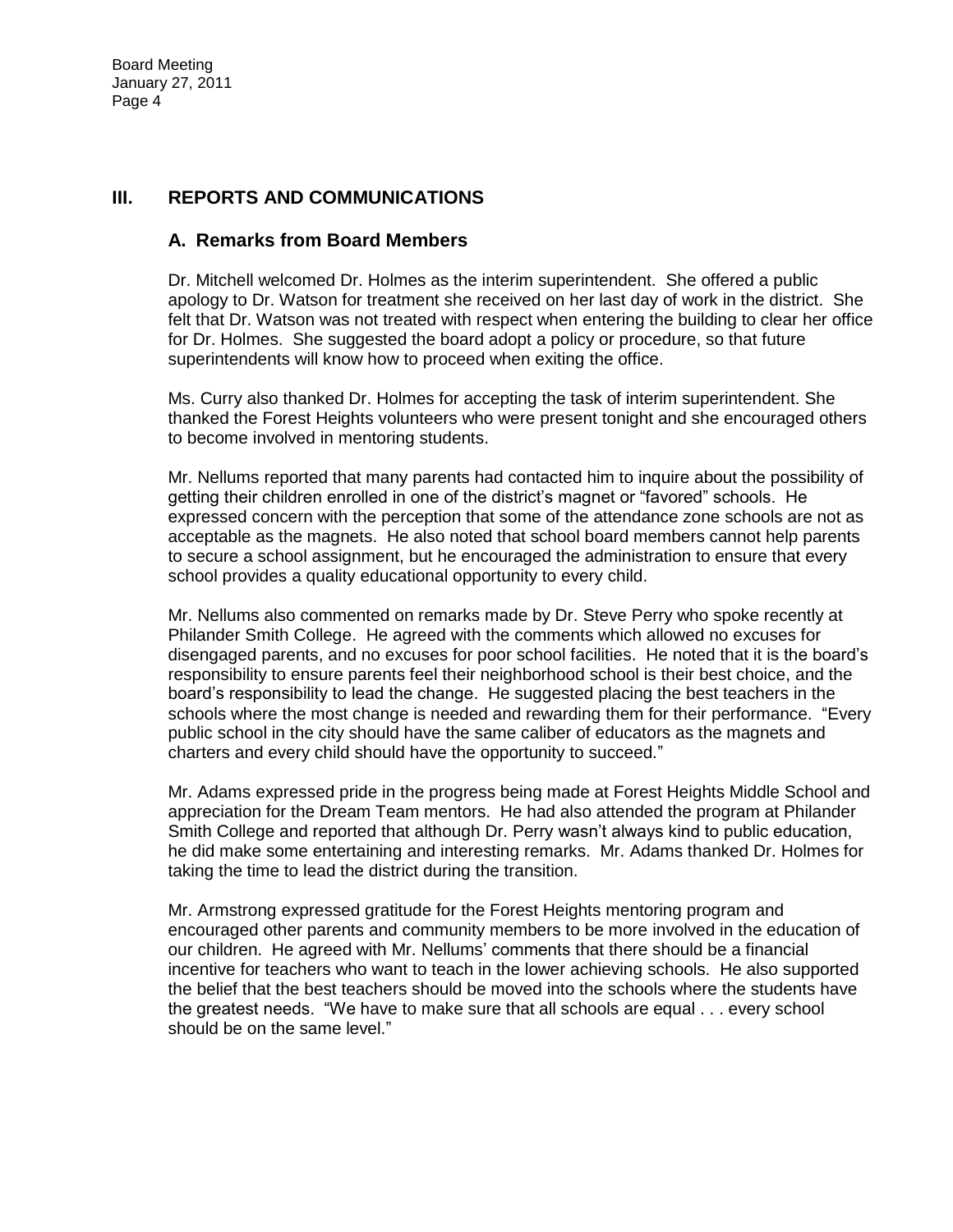#### **III. REPORTS AND COMMUNICATIONS**

#### **A. Remarks from Board Members**

Dr. Mitchell welcomed Dr. Holmes as the interim superintendent. She offered a public apology to Dr. Watson for treatment she received on her last day of work in the district. She felt that Dr. Watson was not treated with respect when entering the building to clear her office for Dr. Holmes. She suggested the board adopt a policy or procedure, so that future superintendents will know how to proceed when exiting the office.

Ms. Curry also thanked Dr. Holmes for accepting the task of interim superintendent. She thanked the Forest Heights volunteers who were present tonight and she encouraged others to become involved in mentoring students.

Mr. Nellums reported that many parents had contacted him to inquire about the possibility of getting their children enrolled in one of the district's magnet or "favored" schools. He expressed concern with the perception that some of the attendance zone schools are not as acceptable as the magnets. He also noted that school board members cannot help parents to secure a school assignment, but he encouraged the administration to ensure that every school provides a quality educational opportunity to every child.

Mr. Nellums also commented on remarks made by Dr. Steve Perry who spoke recently at Philander Smith College. He agreed with the comments which allowed no excuses for disengaged parents, and no excuses for poor school facilities. He noted that it is the board's responsibility to ensure parents feel their neighborhood school is their best choice, and the board's responsibility to lead the change. He suggested placing the best teachers in the schools where the most change is needed and rewarding them for their performance. "Every public school in the city should have the same caliber of educators as the magnets and charters and every child should have the opportunity to succeed."

Mr. Adams expressed pride in the progress being made at Forest Heights Middle School and appreciation for the Dream Team mentors. He had also attended the program at Philander Smith College and reported that although Dr. Perry wasn't always kind to public education, he did make some entertaining and interesting remarks. Mr. Adams thanked Dr. Holmes for taking the time to lead the district during the transition.

Mr. Armstrong expressed gratitude for the Forest Heights mentoring program and encouraged other parents and community members to be more involved in the education of our children. He agreed with Mr. Nellums' comments that there should be a financial incentive for teachers who want to teach in the lower achieving schools. He also supported the belief that the best teachers should be moved into the schools where the students have the greatest needs. "We have to make sure that all schools are equal . . . every school should be on the same level."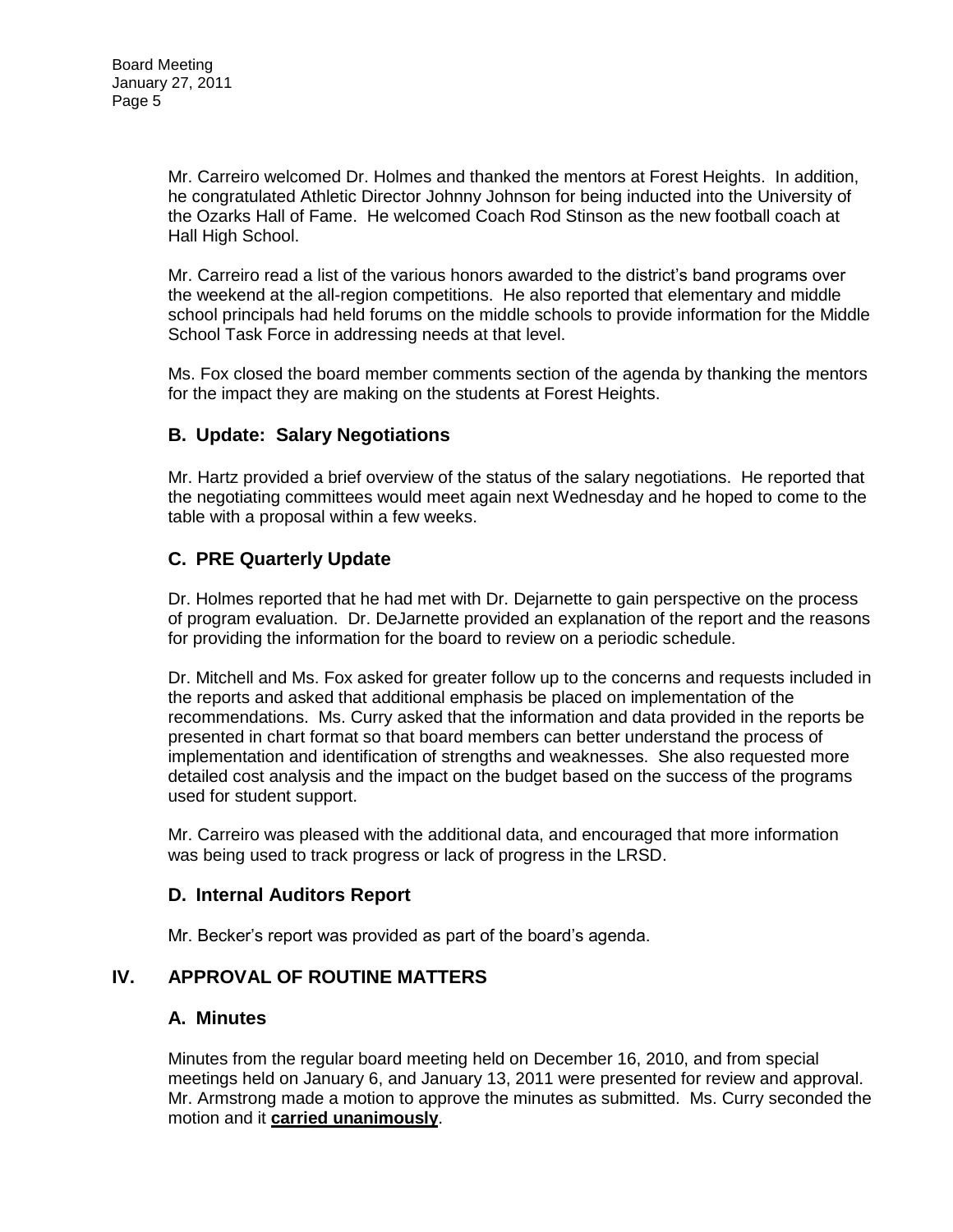Mr. Carreiro welcomed Dr. Holmes and thanked the mentors at Forest Heights. In addition, he congratulated Athletic Director Johnny Johnson for being inducted into the University of the Ozarks Hall of Fame. He welcomed Coach Rod Stinson as the new football coach at Hall High School.

Mr. Carreiro read a list of the various honors awarded to the district's band programs over the weekend at the all-region competitions. He also reported that elementary and middle school principals had held forums on the middle schools to provide information for the Middle School Task Force in addressing needs at that level.

Ms. Fox closed the board member comments section of the agenda by thanking the mentors for the impact they are making on the students at Forest Heights.

# **B. Update: Salary Negotiations**

Mr. Hartz provided a brief overview of the status of the salary negotiations. He reported that the negotiating committees would meet again next Wednesday and he hoped to come to the table with a proposal within a few weeks.

# **C. PRE Quarterly Update**

Dr. Holmes reported that he had met with Dr. Dejarnette to gain perspective on the process of program evaluation. Dr. DeJarnette provided an explanation of the report and the reasons for providing the information for the board to review on a periodic schedule.

Dr. Mitchell and Ms. Fox asked for greater follow up to the concerns and requests included in the reports and asked that additional emphasis be placed on implementation of the recommendations. Ms. Curry asked that the information and data provided in the reports be presented in chart format so that board members can better understand the process of implementation and identification of strengths and weaknesses. She also requested more detailed cost analysis and the impact on the budget based on the success of the programs used for student support.

Mr. Carreiro was pleased with the additional data, and encouraged that more information was being used to track progress or lack of progress in the LRSD.

# **D. Internal Auditors Report**

Mr. Becker's report was provided as part of the board's agenda.

# **IV. APPROVAL OF ROUTINE MATTERS**

#### **A. Minutes**

Minutes from the regular board meeting held on December 16, 2010, and from special meetings held on January 6, and January 13, 2011 were presented for review and approval. Mr. Armstrong made a motion to approve the minutes as submitted. Ms. Curry seconded the motion and it **carried unanimously**.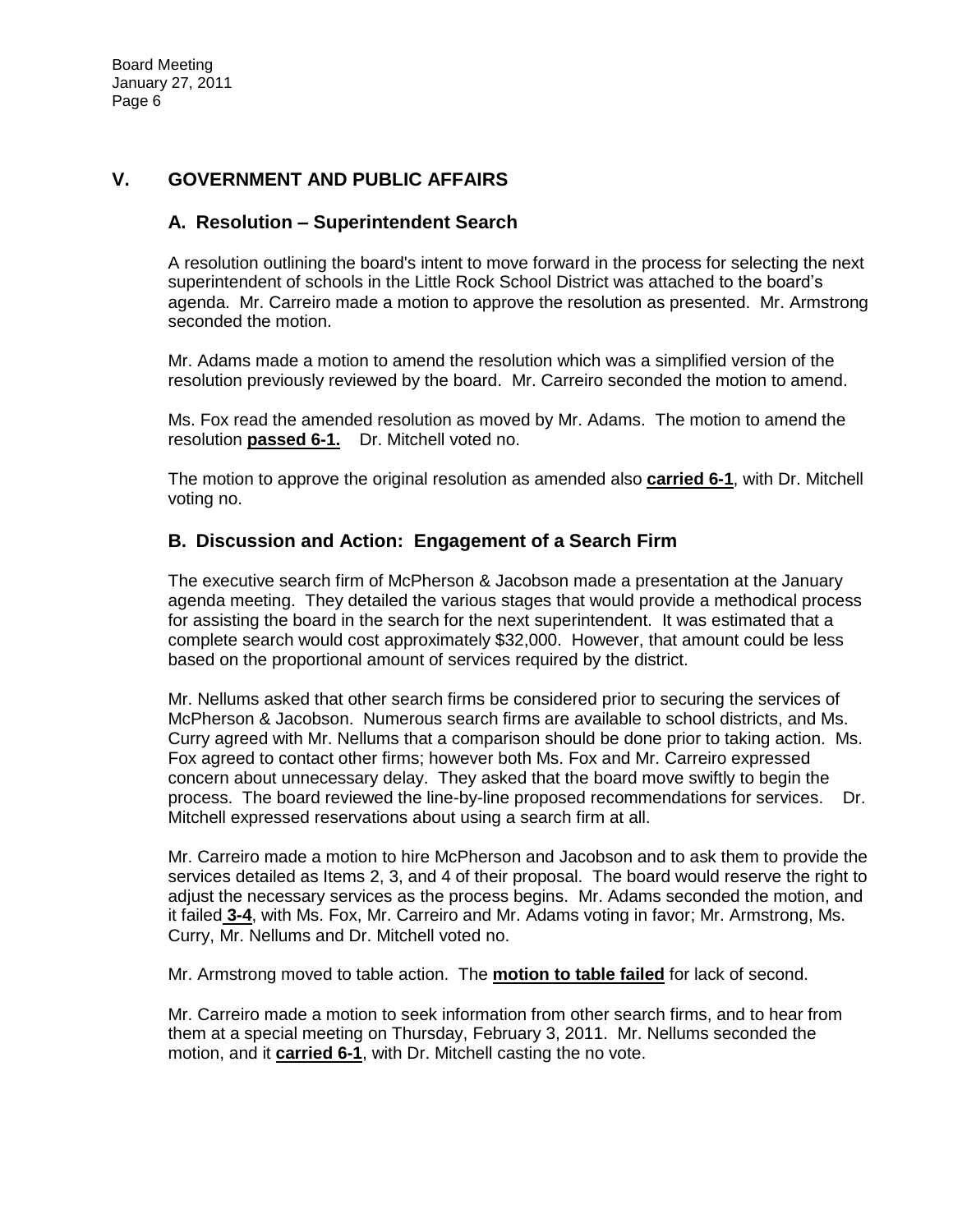# **V. GOVERNMENT AND PUBLIC AFFAIRS**

# **A. Resolution – Superintendent Search**

A resolution outlining the board's intent to move forward in the process for selecting the next superintendent of schools in the Little Rock School District was attached to the board's agenda. Mr. Carreiro made a motion to approve the resolution as presented. Mr. Armstrong seconded the motion.

Mr. Adams made a motion to amend the resolution which was a simplified version of the resolution previously reviewed by the board. Mr. Carreiro seconded the motion to amend.

Ms. Fox read the amended resolution as moved by Mr. Adams. The motion to amend the resolution **passed 6-1.** Dr. Mitchell voted no.

The motion to approve the original resolution as amended also **carried 6-1**, with Dr. Mitchell voting no.

#### **B. Discussion and Action: Engagement of a Search Firm**

The executive search firm of McPherson & Jacobson made a presentation at the January agenda meeting. They detailed the various stages that would provide a methodical process for assisting the board in the search for the next superintendent. It was estimated that a complete search would cost approximately \$32,000. However, that amount could be less based on the proportional amount of services required by the district.

Mr. Nellums asked that other search firms be considered prior to securing the services of McPherson & Jacobson. Numerous search firms are available to school districts, and Ms. Curry agreed with Mr. Nellums that a comparison should be done prior to taking action. Ms. Fox agreed to contact other firms; however both Ms. Fox and Mr. Carreiro expressed concern about unnecessary delay. They asked that the board move swiftly to begin the process. The board reviewed the line-by-line proposed recommendations for services. Dr. Mitchell expressed reservations about using a search firm at all.

Mr. Carreiro made a motion to hire McPherson and Jacobson and to ask them to provide the services detailed as Items 2, 3, and 4 of their proposal. The board would reserve the right to adjust the necessary services as the process begins. Mr. Adams seconded the motion, and it failed **3-4**, with Ms. Fox, Mr. Carreiro and Mr. Adams voting in favor; Mr. Armstrong, Ms. Curry, Mr. Nellums and Dr. Mitchell voted no.

Mr. Armstrong moved to table action. The **motion to table failed** for lack of second.

Mr. Carreiro made a motion to seek information from other search firms, and to hear from them at a special meeting on Thursday, February 3, 2011. Mr. Nellums seconded the motion, and it **carried 6-1**, with Dr. Mitchell casting the no vote.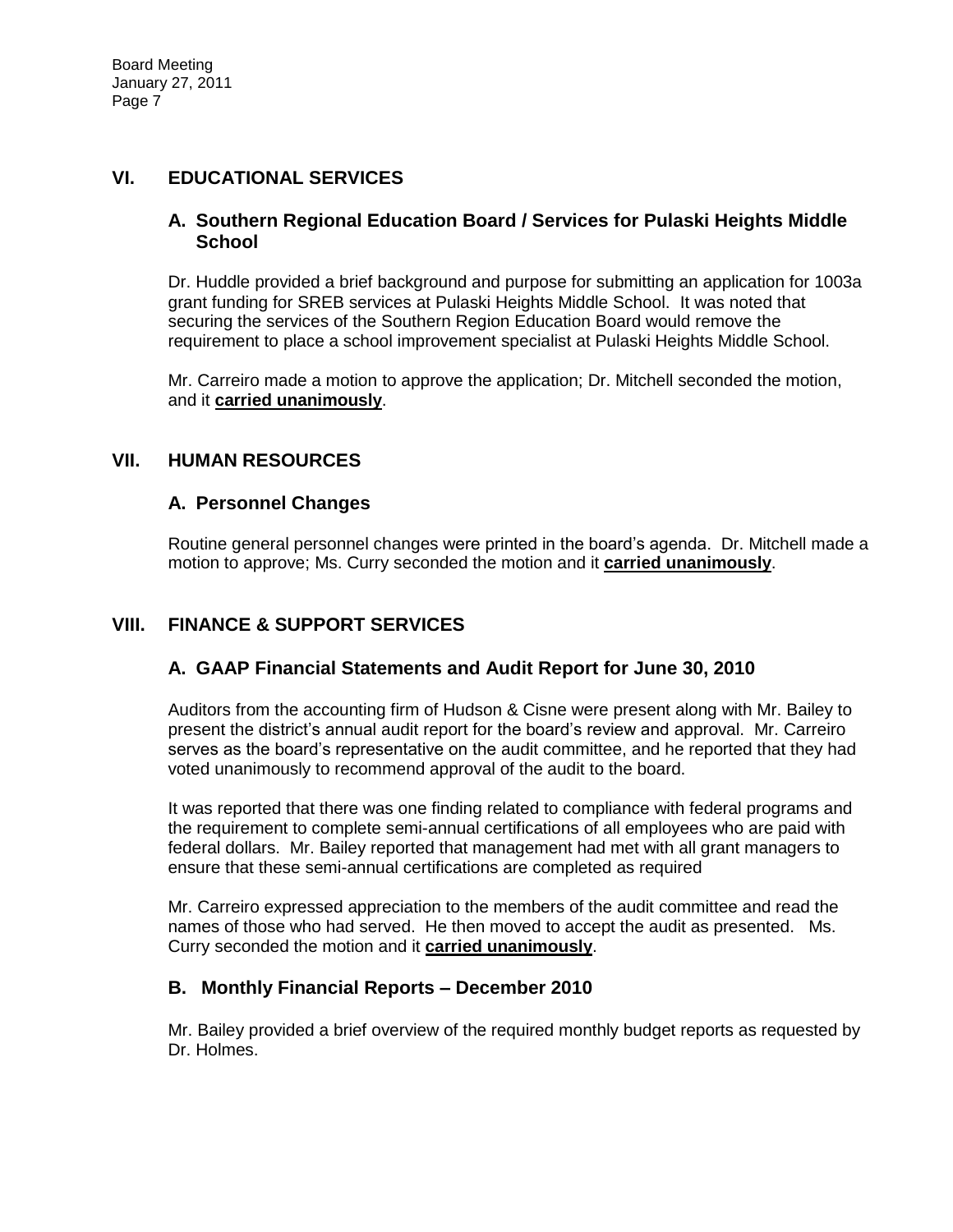# **VI. EDUCATIONAL SERVICES**

#### **A. Southern Regional Education Board / Services for Pulaski Heights Middle School**

Dr. Huddle provided a brief background and purpose for submitting an application for 1003a grant funding for SREB services at Pulaski Heights Middle School. It was noted that securing the services of the Southern Region Education Board would remove the requirement to place a school improvement specialist at Pulaski Heights Middle School.

Mr. Carreiro made a motion to approve the application; Dr. Mitchell seconded the motion, and it **carried unanimously**.

#### **VII. HUMAN RESOURCES**

# **A. Personnel Changes**

Routine general personnel changes were printed in the board's agenda. Dr. Mitchell made a motion to approve; Ms. Curry seconded the motion and it **carried unanimously**.

# **VIII. FINANCE & SUPPORT SERVICES**

# **A. GAAP Financial Statements and Audit Report for June 30, 2010**

Auditors from the accounting firm of Hudson & Cisne were present along with Mr. Bailey to present the district's annual audit report for the board's review and approval. Mr. Carreiro serves as the board's representative on the audit committee, and he reported that they had voted unanimously to recommend approval of the audit to the board.

It was reported that there was one finding related to compliance with federal programs and the requirement to complete semi-annual certifications of all employees who are paid with federal dollars. Mr. Bailey reported that management had met with all grant managers to ensure that these semi-annual certifications are completed as required

Mr. Carreiro expressed appreciation to the members of the audit committee and read the names of those who had served. He then moved to accept the audit as presented. Ms. Curry seconded the motion and it **carried unanimously**.

# **B. Monthly Financial Reports – December 2010**

Mr. Bailey provided a brief overview of the required monthly budget reports as requested by Dr. Holmes.